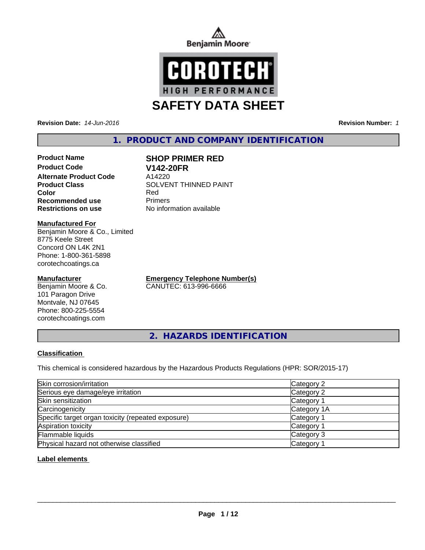



**Revision Date:** *14-Jun-2016* **Revision Number:** *1*

# **1. PRODUCT AND COMPANY IDENTIFICATION**

**Product Name SHOP PRIMER RED Product Code V142-20FR Alternate Product Code** A14220<br>**Product Class** SOLVEI **Recommended use** Primers **Restrictions on use** No information available

**SOLVENT THINNED PAINT Color** Red

### **Manufactured For**

Benjamin Moore & Co., Limited 8775 Keele Street Concord ON L4K 2N1 Phone: 1-800-361-5898 corotechcoatings.ca

# **Manufacturer**

Benjamin Moore & Co. 101 Paragon Drive Montvale, NJ 07645 Phone: 800-225-5554 corotechcoatings.com

**Emergency Telephone Number(s)** CANUTEC: 613-996-6666

**2. HAZARDS IDENTIFICATION**

# **Classification**

This chemical is considered hazardous by the Hazardous Products Regulations (HPR: SOR/2015-17)

| Skin corrosion/irritation                          | Category 2            |
|----------------------------------------------------|-----------------------|
| Serious eye damage/eye irritation                  | Category 2            |
| Skin sensitization                                 | Category 1            |
| Carcinogenicity                                    | Category 1A           |
| Specific target organ toxicity (repeated exposure) | Category 1            |
| Aspiration toxicity                                | Category 1            |
| Flammable liquids                                  | Category 3            |
| Physical hazard not otherwise classified           | Category <sup>2</sup> |

# **Label elements**

 $\overline{\phantom{a}}$  ,  $\overline{\phantom{a}}$  ,  $\overline{\phantom{a}}$  ,  $\overline{\phantom{a}}$  ,  $\overline{\phantom{a}}$  ,  $\overline{\phantom{a}}$  ,  $\overline{\phantom{a}}$  ,  $\overline{\phantom{a}}$  ,  $\overline{\phantom{a}}$  ,  $\overline{\phantom{a}}$  ,  $\overline{\phantom{a}}$  ,  $\overline{\phantom{a}}$  ,  $\overline{\phantom{a}}$  ,  $\overline{\phantom{a}}$  ,  $\overline{\phantom{a}}$  ,  $\overline{\phantom{a}}$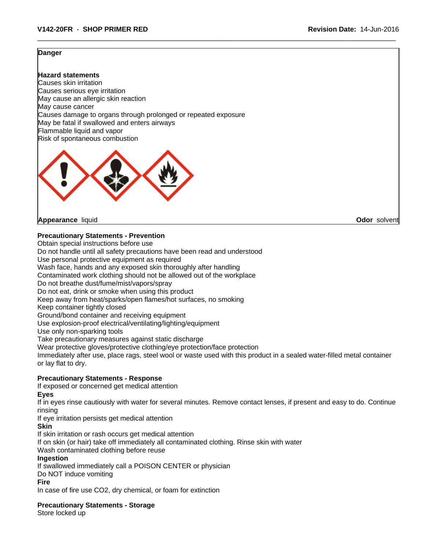## **Danger**

**Hazard statements** Causes skin irritation Causes serious eye irritation May cause an allergic skin reaction May cause cancer Causes damage to organs through prolonged or repeated exposure May be fatal if swallowed and enters airways Flammable liquid and vapor Risk of spontaneous combustion



**Appearance** liquid **Odor** solvent

**Precautionary Statements - Prevention**

Obtain special instructions before use

Do not handle until all safety precautions have been read and understood

Use personal protective equipment as required

Wash face, hands and any exposed skin thoroughly after handling

Contaminated work clothing should not be allowed out of the workplace

Do not breathe dust/fume/mist/vapors/spray

Do not eat, drink or smoke when using this product

Keep away from heat/sparks/open flames/hot surfaces, no smoking

Keep container tightly closed

Ground/bond container and receiving equipment

Use explosion-proof electrical/ventilating/lighting/equipment

Use only non-sparking tools

Take precautionary measures against static discharge

Wear protective gloves/protective clothing/eye protection/face protection

Immediately after use, place rags, steel wool or waste used with this product in a sealed water-filled metal container or lay flat to dry.

# **Precautionary Statements - Response**

If exposed or concerned get medical attention

**Eyes**

If in eyes rinse cautiously with water for several minutes. Remove contact lenses, if present and easy to do. Continue rinsing

If eye irritation persists get medical attention

**Skin**

If skin irritation or rash occurs get medical attention

If on skin (or hair) take off immediately all contaminated clothing. Rinse skin with water

Wash contaminated clothing before reuse

# **Ingestion**

If swallowed immediately call a POISON CENTER or physician

Do NOT induce vomiting

# **Fire**

In case of fire use CO2, dry chemical, or foam for extinction

**Precautionary Statements - Storage**

Store locked up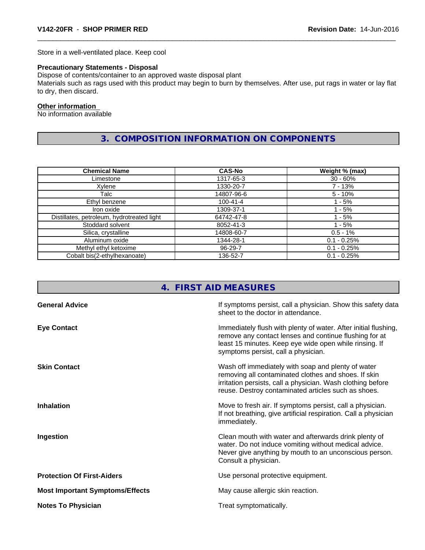Store in a well-ventilated place. Keep cool

# **Precautionary Statements - Disposal**

Dispose of contents/container to an approved waste disposal plant

Materials such as rags used with this product may begin to burn by themselves. After use, put rags in water or lay flat to dry, then discard.

### **Other information**

No information available

# **3. COMPOSITION INFORMATION ON COMPONENTS**

| <b>Chemical Name</b>                       | <b>CAS-No</b>  | Weight % (max) |
|--------------------------------------------|----------------|----------------|
| Limestone                                  | 1317-65-3      | $30 - 60%$     |
| Xylene                                     | 1330-20-7      | 7 - 13%        |
| Talc                                       | 14807-96-6     | $5 - 10%$      |
| Ethyl benzene                              | $100 - 41 - 4$ | $-5%$          |
| Iron oxide                                 | 1309-37-1      | - 5%           |
| Distillates, petroleum, hydrotreated light | 64742-47-8     | $-5%$          |
| Stoddard solvent                           | 8052-41-3      | $-5%$          |
| Silica, crystalline                        | 14808-60-7     | $0.5 - 1%$     |
| Aluminum oxide                             | 1344-28-1      | $0.1 - 0.25%$  |
| Methyl ethyl ketoxime                      | 96-29-7        | $0.1 - 0.25%$  |
| Cobalt bis(2-ethylhexanoate)               | 136-52-7       | $0.1 - 0.25%$  |

# **4. FIRST AID MEASURES**

| <b>General Advice</b>                  | If symptoms persist, call a physician. Show this safety data<br>sheet to the doctor in attendance.                                                                                                                               |
|----------------------------------------|----------------------------------------------------------------------------------------------------------------------------------------------------------------------------------------------------------------------------------|
| <b>Eye Contact</b>                     | Immediately flush with plenty of water. After initial flushing,<br>remove any contact lenses and continue flushing for at<br>least 15 minutes. Keep eye wide open while rinsing. If<br>symptoms persist, call a physician.       |
| <b>Skin Contact</b>                    | Wash off immediately with soap and plenty of water<br>removing all contaminated clothes and shoes. If skin<br>irritation persists, call a physician. Wash clothing before<br>reuse. Destroy contaminated articles such as shoes. |
| <b>Inhalation</b>                      | Move to fresh air. If symptoms persist, call a physician.<br>If not breathing, give artificial respiration. Call a physician<br>immediately.                                                                                     |
| Ingestion                              | Clean mouth with water and afterwards drink plenty of<br>water. Do not induce vomiting without medical advice.<br>Never give anything by mouth to an unconscious person.<br>Consult a physician.                                 |
| <b>Protection Of First-Aiders</b>      | Use personal protective equipment.                                                                                                                                                                                               |
| <b>Most Important Symptoms/Effects</b> | May cause allergic skin reaction.                                                                                                                                                                                                |
| <b>Notes To Physician</b>              | Treat symptomatically.                                                                                                                                                                                                           |
|                                        |                                                                                                                                                                                                                                  |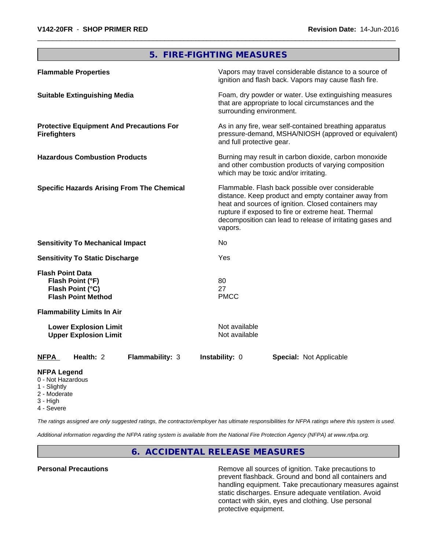# **5. FIRE-FIGHTING MEASURES**

| <b>Flammable Properties</b>                                                                  | Vapors may travel considerable distance to a source of<br>ignition and flash back. Vapors may cause flash fire.                                                                                                                                                                                |  |
|----------------------------------------------------------------------------------------------|------------------------------------------------------------------------------------------------------------------------------------------------------------------------------------------------------------------------------------------------------------------------------------------------|--|
| <b>Suitable Extinguishing Media</b>                                                          | Foam, dry powder or water. Use extinguishing measures<br>that are appropriate to local circumstances and the<br>surrounding environment.                                                                                                                                                       |  |
| <b>Protective Equipment And Precautions For</b><br><b>Firefighters</b>                       | As in any fire, wear self-contained breathing apparatus<br>pressure-demand, MSHA/NIOSH (approved or equivalent)<br>and full protective gear.                                                                                                                                                   |  |
| <b>Hazardous Combustion Products</b>                                                         | Burning may result in carbon dioxide, carbon monoxide<br>and other combustion products of varying composition<br>which may be toxic and/or irritating.                                                                                                                                         |  |
| <b>Specific Hazards Arising From The Chemical</b>                                            | Flammable. Flash back possible over considerable<br>distance. Keep product and empty container away from<br>heat and sources of ignition. Closed containers may<br>rupture if exposed to fire or extreme heat. Thermal<br>decomposition can lead to release of irritating gases and<br>vapors. |  |
| <b>Sensitivity To Mechanical Impact</b>                                                      | No                                                                                                                                                                                                                                                                                             |  |
| <b>Sensitivity To Static Discharge</b>                                                       | Yes                                                                                                                                                                                                                                                                                            |  |
| <b>Flash Point Data</b><br>Flash Point (°F)<br>Flash Point (°C)<br><b>Flash Point Method</b> | 80<br>27<br><b>PMCC</b>                                                                                                                                                                                                                                                                        |  |
| <b>Flammability Limits In Air</b>                                                            |                                                                                                                                                                                                                                                                                                |  |
| <b>Lower Explosion Limit</b><br><b>Upper Explosion Limit</b>                                 | Not available<br>Not available                                                                                                                                                                                                                                                                 |  |
| <b>NFPA</b><br>Health: 2<br>Flammability: 3                                                  | Instability: 0<br><b>Special: Not Applicable</b>                                                                                                                                                                                                                                               |  |

#### **NFPA Legend**

- 0 Not Hazardous
- 1 Slightly
- 2 Moderate
- 3 High
- 4 Severe

*The ratings assigned are only suggested ratings, the contractor/employer has ultimate responsibilities for NFPA ratings where this system is used.*

*Additional information regarding the NFPA rating system is available from the National Fire Protection Agency (NFPA) at www.nfpa.org.*

**6. ACCIDENTAL RELEASE MEASURES**

**Personal Precautions Remove all sources of ignition. Take precautions to** Remove all sources of ignition. Take precautions to prevent flashback. Ground and bond all containers and handling equipment. Take precautionary measures against static discharges. Ensure adequate ventilation. Avoid contact with skin, eyes and clothing. Use personal protective equipment.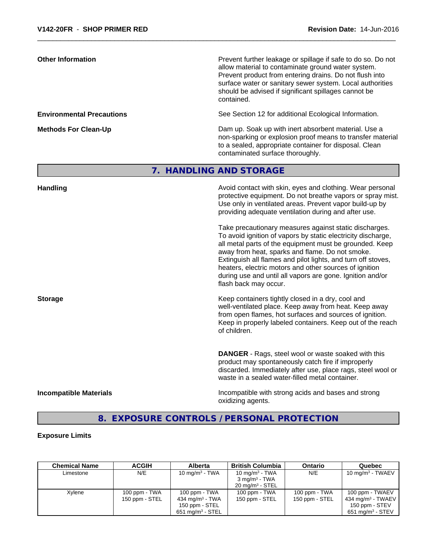| <b>Other Information</b>          | Prevent further leakage or spillage if safe to do so. Do not<br>allow material to contaminate ground water system.<br>Prevent product from entering drains. Do not flush into<br>surface water or sanitary sewer system. Local authorities<br>should be advised if significant spillages cannot be<br>contained.                                                                                                                                                                                                                                                                                                                                                                                                                                        |
|-----------------------------------|---------------------------------------------------------------------------------------------------------------------------------------------------------------------------------------------------------------------------------------------------------------------------------------------------------------------------------------------------------------------------------------------------------------------------------------------------------------------------------------------------------------------------------------------------------------------------------------------------------------------------------------------------------------------------------------------------------------------------------------------------------|
| <b>Environmental Precautions</b>  | See Section 12 for additional Ecological Information.                                                                                                                                                                                                                                                                                                                                                                                                                                                                                                                                                                                                                                                                                                   |
| <b>Methods For Clean-Up</b>       | Dam up. Soak up with inert absorbent material. Use a<br>non-sparking or explosion proof means to transfer material<br>to a sealed, appropriate container for disposal. Clean<br>contaminated surface thoroughly.                                                                                                                                                                                                                                                                                                                                                                                                                                                                                                                                        |
|                                   | 7. HANDLING AND STORAGE                                                                                                                                                                                                                                                                                                                                                                                                                                                                                                                                                                                                                                                                                                                                 |
| <b>Handling</b><br><b>Storage</b> | Avoid contact with skin, eyes and clothing. Wear personal<br>protective equipment. Do not breathe vapors or spray mist.<br>Use only in ventilated areas. Prevent vapor build-up by<br>providing adequate ventilation during and after use.<br>Take precautionary measures against static discharges.<br>To avoid ignition of vapors by static electricity discharge,<br>all metal parts of the equipment must be grounded. Keep<br>away from heat, sparks and flame. Do not smoke.<br>Extinguish all flames and pilot lights, and turn off stoves,<br>heaters, electric motors and other sources of ignition<br>during use and until all vapors are gone. Ignition and/or<br>flash back may occur.<br>Keep containers tightly closed in a dry, cool and |
|                                   | well-ventilated place. Keep away from heat. Keep away<br>from open flames, hot surfaces and sources of ignition.<br>Keep in properly labeled containers. Keep out of the reach<br>of children.<br>DANGER - Rags, steel wool or waste soaked with this<br>product may spontaneously catch fire if improperly<br>discarded. Immediately after use, place rags, steel wool or<br>waste in a sealed water-filled metal container.                                                                                                                                                                                                                                                                                                                           |
| <b>Incompatible Materials</b>     | Incompatible with strong acids and bases and strong<br>oxidizing agents.                                                                                                                                                                                                                                                                                                                                                                                                                                                                                                                                                                                                                                                                                |

# **8. EXPOSURE CONTROLS / PERSONAL PROTECTION**

# **Exposure Limits**

| Chemical Name | ACGIH          | Alberta                     | <b>British Columbia</b>    | Ontario        | Quebec                          |
|---------------|----------------|-----------------------------|----------------------------|----------------|---------------------------------|
| Limestone     | N/E            | 10 mg/m $3$ - TWA           | 10 mg/m $3$ - TWA          | N/E            | 10 mg/m $3$ - TWAEV             |
|               |                |                             | $3 \text{ mg/m}^3$ - TWA   |                |                                 |
|               |                |                             | $20 \text{ ma/m}^3$ - STEL |                |                                 |
| Xylene        | 100 ppm - TWA  | $100$ ppm - TWA             | 100 ppm - $TWA$            | 100 ppm - TWA  | 100 ppm - TWAEV                 |
|               | 150 ppm - STEL | 434 mg/m $3$ - TWA          | 150 ppm - STEL             | 150 ppm - STEL | $434$ mg/m <sup>3</sup> - TWAEV |
|               |                | 150 ppm - STEL              |                            |                | 150 ppm - STEV                  |
|               |                | $651 \text{ mg/m}^3$ - STEL |                            |                | 651 mg/m <sup>3</sup> - STEV    |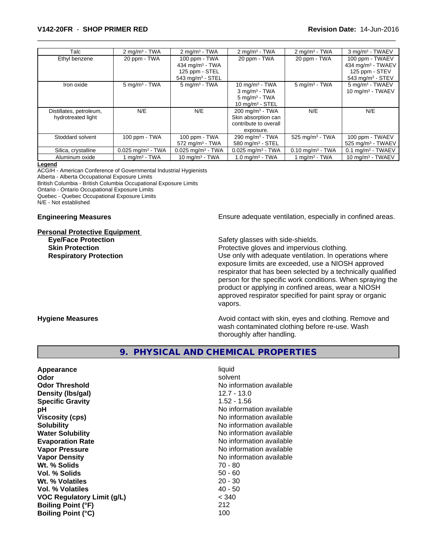| Talc                    | $2$ mg/m <sup>3</sup> - TWA     | $2 \text{mq/m}^3$ - TWA         | $2 \text{mq/m}^3$ - TWA         | $2 \text{mq/m}^3$ - TWA        | 3 mg/m <sup>3</sup> - TWAEV     |
|-------------------------|---------------------------------|---------------------------------|---------------------------------|--------------------------------|---------------------------------|
| Ethyl benzene           | 20 ppm - TWA                    | 100 ppm - TWA                   | 20 ppm - TWA                    | 20 ppm - TWA                   | 100 ppm - TWAEV                 |
|                         |                                 | 434 mg/m $3$ - TWA              |                                 |                                | 434 mg/m <sup>3</sup> - TWAEV   |
|                         |                                 | 125 ppm - STEL                  |                                 |                                | 125 ppm - STEV                  |
|                         |                                 | 543 mg/m <sup>3</sup> - STEL    |                                 |                                | 543 mg/m <sup>3</sup> - STEV    |
| Iron oxide              | $5 \text{ mg/m}^3$ - TWA        | $5 \text{ mg/m}^3$ - TWA        | 10 mg/m $3$ - TWA               | $5 \text{ mg/m}^3$ - TWA       | 5 mg/m <sup>3</sup> - TWAEV     |
|                         |                                 |                                 | $3$ mg/m <sup>3</sup> - TWA     |                                | 10 mg/m $3$ - TWAEV             |
|                         |                                 |                                 | $5 \text{ mg/m}^3$ - TWA        |                                |                                 |
|                         |                                 |                                 | 10 $mq/m3$ - STEL               |                                |                                 |
| Distillates, petroleum, | N/E                             | N/E                             | $200 \text{ mg/m}^3$ - TWA      | N/E                            | N/E                             |
| hydrotreated light      |                                 |                                 | Skin absorption can             |                                |                                 |
|                         |                                 |                                 | contribute to overall           |                                |                                 |
|                         |                                 |                                 | exposure.                       |                                |                                 |
| Stoddard solvent        | 100 ppm - TWA                   | 100 ppm - TWA                   | 290 mg/m $3$ - TWA              | 525 mg/m $3$ - TWA             | 100 ppm - TWAEV                 |
|                         |                                 | $572 \text{ mg/m}^3$ - TWA      | 580 mg/m $3 -$ STEL             |                                | 525 mg/m <sup>3</sup> - TWAEV   |
| Silica, crystalline     | $0.025$ mg/m <sup>3</sup> - TWA | $0.025$ mg/m <sup>3</sup> - TWA | $0.025$ mg/m <sup>3</sup> - TWA | $0.10$ mg/m <sup>3</sup> - TWA | $0.1$ mg/m <sup>3</sup> - TWAEV |
| Aluminum oxide          | $mq/m3$ - TWA                   | $10 \text{ ma/m}^3$ - TWA       | $1.0$ mg/m $3$ - TWA            | mg/m <sup>3</sup> - TWA        | $10 \text{ ma/m}^3$ - TWAEV     |

#### **Legend**

ACGIH - American Conference of Governmental Industrial Hygienists Alberta - Alberta Occupational Exposure Limits

British Columbia - British Columbia Occupational Exposure Limits

Ontario - Ontario Occupational Exposure Limits

Quebec - Quebec Occupational Exposure Limits

N/E - Not established

# **Personal Protective Equipment**

**Engineering Measures Ensure adequate ventilation, especially in confined areas.** 

**Eye/Face Protection Safety glasses with side-shields.** 

**Skin Protection**<br> **Respiratory Protection**<br> **Respiratory Protection**<br> **Protective gloves and impervious clothing.**<br>
Use only with adequate ventilation. In oper Use only with adequate ventilation. In operations where exposure limits are exceeded, use a NIOSH approved respirator that has been selected by a technically qualified person for the specific work conditions. When spraying the product or applying in confined areas, wear a NIOSH approved respirator specified for paint spray or organic vapors.

**Hygiene Measures Avoid contact with skin, eyes and clothing. Remove and Avoid contact with skin, eyes and clothing. Remove and Avoid contact with skin, eyes and clothing. Remove and** wash contaminated clothing before re-use. Wash thoroughly after handling.

# **9. PHYSICAL AND CHEMICAL PROPERTIES**

| Appearance                        | liquid                   |
|-----------------------------------|--------------------------|
| Odor                              | solvent                  |
| <b>Odor Threshold</b>             | No information available |
| Density (Ibs/gal)                 | 12.7 - 13.0              |
| <b>Specific Gravity</b>           | $1.52 - 1.56$            |
| рH                                | No information available |
| <b>Viscosity (cps)</b>            | No information available |
| <b>Solubility</b>                 | No information available |
| <b>Water Solubility</b>           | No information available |
| <b>Evaporation Rate</b>           | No information available |
| <b>Vapor Pressure</b>             | No information available |
| <b>Vapor Density</b>              | No information available |
| Wt. % Solids                      | 70 - 80                  |
| Vol. % Solids                     | $50 - 60$                |
| Wt. % Volatiles                   | $20 - 30$                |
| Vol. % Volatiles                  | $40 - 50$                |
| <b>VOC Regulatory Limit (g/L)</b> | < 340                    |
| <b>Boiling Point (°F)</b>         | 212                      |
| <b>Boiling Point (°C)</b>         | 100                      |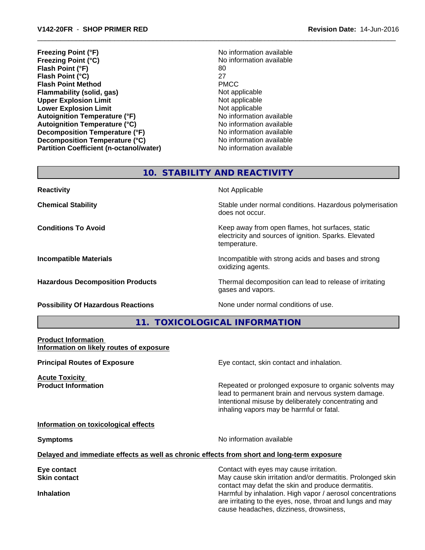- **Freezing Point (°F)** No information available **Freezing Point (°C)** No information available **Flash Point (°F)** 80 **Flash Point (°C)** 27 **Flash Point Method** PMCC **Flammability (solid, gas)** Not applicable<br> **Upper Explosion Limit** Not applicable<br>
Not applicable **Upper Explosion Limit Lower Explosion Limit**<br> **Autoignition Temperature (°F)**<br> **Autoignition Temperature (°F)**<br> **Autoignition Temperature (°F) Autoignition Temperature (°F)**<br> **Autoignition Temperature (°C)** No information available **Autoignition Temperature (°C) Decomposition Temperature (°F)** No information available **Decomposition Temperature (°C)** No information available **Partition Coefficient (n-octanol/water)** No information available
- 
- 

# **10. STABILITY AND REACTIVITY**

| <b>Reactivity</b>                         | Not Applicable                                                                                                            |
|-------------------------------------------|---------------------------------------------------------------------------------------------------------------------------|
| <b>Chemical Stability</b>                 | Stable under normal conditions. Hazardous polymerisation<br>does not occur.                                               |
| <b>Conditions To Avoid</b>                | Keep away from open flames, hot surfaces, static<br>electricity and sources of ignition. Sparks. Elevated<br>temperature. |
| <b>Incompatible Materials</b>             | Incompatible with strong acids and bases and strong<br>oxidizing agents.                                                  |
| <b>Hazardous Decomposition Products</b>   | Thermal decomposition can lead to release of irritating<br>gases and vapors.                                              |
| <b>Possibility Of Hazardous Reactions</b> | None under normal conditions of use.                                                                                      |

**11. TOXICOLOGICAL INFORMATION**

**Product Information Information on likely routes of exposure**

**Acute Toxicity**<br>**Product Information** 

**Principal Routes of Exposure Exposure** Eye contact, skin contact and inhalation.

Repeated or prolonged exposure to organic solvents may lead to permanent brain and nervous system damage. Intentional misuse by deliberately concentrating and inhaling vapors may be harmful or fatal.

# **Information on toxicological effects**

**Symptoms** No information available

# **Delayed and immediate effects as well as chronic effects from short and long-term exposure**

| Eye contact<br><b>Skin contact</b> | Contact with eyes may cause irritation.<br>May cause skin irritation and/or dermatitis. Prolonged skin                   |
|------------------------------------|--------------------------------------------------------------------------------------------------------------------------|
|                                    | contact may defat the skin and produce dermatitis.                                                                       |
| <b>Inhalation</b>                  | Harmful by inhalation. High vapor / aerosol concentrations<br>are irritating to the eyes, nose, throat and lungs and may |
|                                    | cause headaches, dizziness, drowsiness,                                                                                  |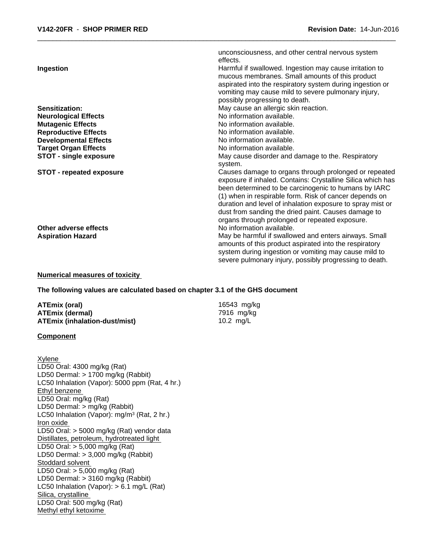|                                 | unconsciousness, and other central nervous system           |
|---------------------------------|-------------------------------------------------------------|
|                                 | effects.                                                    |
| Ingestion                       | Harmful if swallowed. Ingestion may cause irritation to     |
|                                 | mucous membranes. Small amounts of this product             |
|                                 | aspirated into the respiratory system during ingestion or   |
|                                 | vomiting may cause mild to severe pulmonary injury,         |
|                                 | possibly progressing to death.                              |
| Sensitization:                  | May cause an allergic skin reaction.                        |
| <b>Neurological Effects</b>     | No information available.                                   |
| <b>Mutagenic Effects</b>        | No information available.                                   |
| <b>Reproductive Effects</b>     | No information available.                                   |
| <b>Developmental Effects</b>    | No information available.                                   |
| <b>Target Organ Effects</b>     | No information available.                                   |
| <b>STOT - single exposure</b>   | May cause disorder and damage to the. Respiratory           |
|                                 | system.                                                     |
| <b>STOT - repeated exposure</b> | Causes damage to organs through prolonged or repeated       |
|                                 | exposure if inhaled. Contains: Crystalline Silica which has |
|                                 | been determined to be carcinogenic to humans by IARC        |
|                                 | (1) when in respirable form. Risk of cancer depends on      |
|                                 | duration and level of inhalation exposure to spray mist or  |
|                                 | dust from sanding the dried paint. Causes damage to         |
|                                 | organs through prolonged or repeated exposure.              |
| Other adverse effects           | No information available.                                   |
| <b>Aspiration Hazard</b>        | May be harmful if swallowed and enters airways. Small       |
|                                 | amounts of this product aspirated into the respiratory      |
|                                 | system during ingestion or vomiting may cause mild to       |
|                                 | severe pulmonary injury, possibly progressing to death.     |

## **Numerical measures of toxicity**

**The following values are calculated based on chapter 3.1 of the GHS document**

**ATEmix (oral)** 16543 mg/kg<br> **ATEmix (dermal)** 16543 mg/kg<br>
7916 mg/kg **ATEmix (dermal)** 7916 mg/k<br> **ATEmix (inhalation-dust/mist)** 10.2 mg/L **ATEmix** (inhalation-dust/mist)

# **Component**

| Xvlene                                         |
|------------------------------------------------|
| LD50 Oral: 4300 mg/kg (Rat)                    |
| LD50 Dermal: > 1700 mg/kg (Rabbit)             |
| LC50 Inhalation (Vapor): 5000 ppm (Rat, 4 hr.) |
| Ethyl benzene                                  |
| LD50 Oral: mg/kg (Rat)                         |
| LD50 Dermal: > mg/kg (Rabbit)                  |
| LC50 Inhalation (Vapor): $mg/m3$ (Rat, 2 hr.)  |
| Iron oxide                                     |
| LD50 Oral: > 5000 mg/kg (Rat) vendor data      |
| Distillates, petroleum, hydrotreated light     |
| LD50 Oral: > 5,000 mg/kg (Rat)                 |
| LD50 Dermal: > 3,000 mg/kg (Rabbit)            |
| Stoddard solvent                               |
| LD50 Oral: > 5,000 mg/kg (Rat)                 |
| LD50 Dermal: > 3160 mg/kg (Rabbit)             |
| LC50 Inhalation (Vapor): $> 6.1$ mg/L (Rat)    |
| Silica, crystalline                            |
| LD50 Oral: 500 mg/kg (Rat)                     |
| Methyl ethyl ketoxime                          |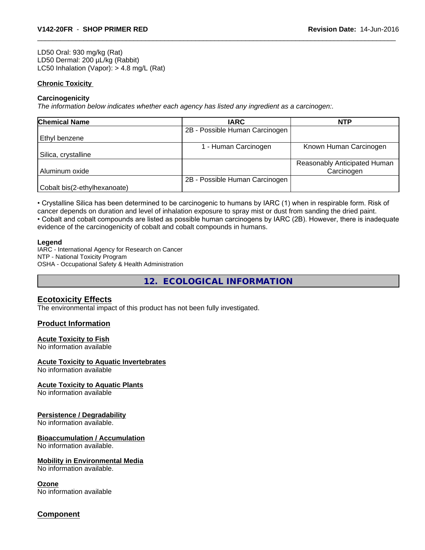LD50 Oral: 930 mg/kg (Rat) LD50 Dermal: 200 µL/kg (Rabbit) LC50 Inhalation (Vapor): > 4.8 mg/L (Rat)

# **Chronic Toxicity**

### **Carcinogenicity**

*The information below indicateswhether each agency has listed any ingredient as a carcinogen:.*

| <b>Chemical Name</b>         | <b>IARC</b>                    | <b>NTP</b>                   |
|------------------------------|--------------------------------|------------------------------|
|                              | 2B - Possible Human Carcinogen |                              |
| Ethyl benzene                |                                |                              |
|                              | 1 - Human Carcinogen           | Known Human Carcinogen       |
| Silica, crystalline          |                                |                              |
|                              |                                | Reasonably Anticipated Human |
| Aluminum oxide               |                                | Carcinogen                   |
|                              | 2B - Possible Human Carcinogen |                              |
| Cobalt bis(2-ethylhexanoate) |                                |                              |

• Crystalline Silica has been determined to be carcinogenic to humans by IARC (1) when in respirable form. Risk of cancer depends on duration and level of inhalation exposure to spray mist or dust from sanding the dried paint.• Cobalt and cobalt compounds are listed as possible human carcinogens by IARC (2B). However, there is inadequate evidence of the carcinogenicity of cobalt and cobalt compounds in humans.

### **Legend**

IARC - International Agency for Research on Cancer NTP - National Toxicity Program OSHA - Occupational Safety & Health Administration

**12. ECOLOGICAL INFORMATION**

# **Ecotoxicity Effects**

The environmental impact of this product has not been fully investigated.

# **Product Information**

### **Acute Toxicity to Fish**

No information available

#### **Acute Toxicity to Aquatic Invertebrates**

No information available

# **Acute Toxicity to Aquatic Plants**

No information available

# **Persistence / Degradability**

No information available.

# **Bioaccumulation / Accumulation**

No information available.

### **Mobility in Environmental Media**

No information available.

#### **Ozone**

No information available

# **Component**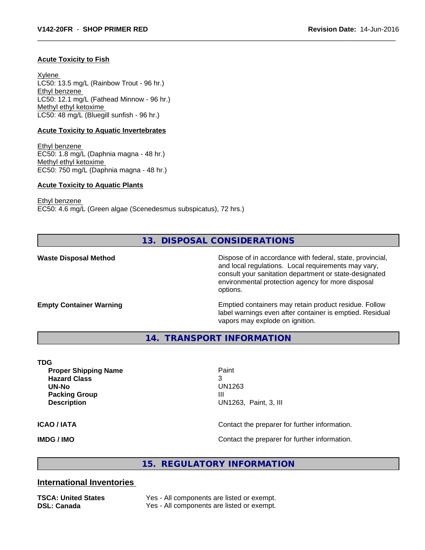# **Acute Toxicity to Fish**

Xylene LC50: 13.5 mg/L (Rainbow Trout - 96 hr.) Ethyl benzene LC50: 12.1 mg/L (Fathead Minnow - 96 hr.) Methyl ethyl ketoxime LC50: 48 mg/L (Bluegill sunfish - 96 hr.)

# **Acute Toxicity to Aquatic Invertebrates**

Ethyl benzene EC50: 1.8 mg/L (Daphnia magna - 48 hr.) Methyl ethyl ketoxime EC50: 750 mg/L (Daphnia magna - 48 hr.)

# **Acute Toxicity to Aquatic Plants**

Ethyl benzene EC50: 4.6 mg/L (Green algae (Scenedesmus subspicatus), 72 hrs.)

**13. DISPOSAL CONSIDERATIONS**

**Waste Disposal Method Dispose of in accordance with federal, state, provincial,** and local regulations. Local requirements may vary, consult your sanitation department or state-designated environmental protection agency for more disposal options.

**Empty Container Warning <b>Emptied** Containers may retain product residue. Follow label warnings even after container is emptied. Residual vapors may explode on ignition.

**14. TRANSPORT INFORMATION**

# **TDG**

**Proper Shipping Name Paint Hazard Class** 3 **UN-No** UN1263 **Packing Group III Description** UN1263, Paint, 3, III

# **ICAO / IATA** Contact the preparer for further information.

**IMDG / IMO Contact the preparer for further information.** 

# **15. REGULATORY INFORMATION**

# **International Inventories**

**TSCA: United States** Yes - All components are listed or exempt. **DSL: Canada** Yes - All components are listed or exempt.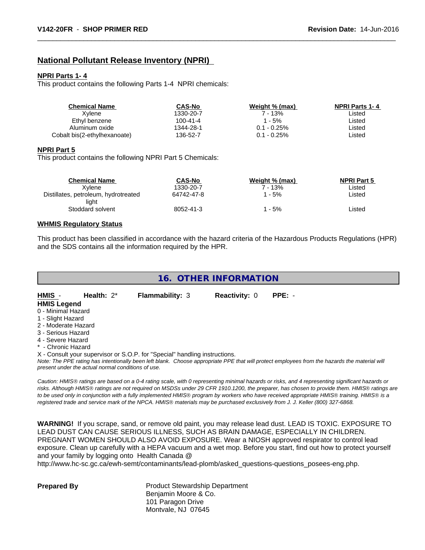# **National Pollutant Release Inventory (NPRI)**

### **NPRI Parts 1- 4**

This product contains the following Parts 1-4 NPRI chemicals:

| <b>Chemical Name</b>         | <b>CAS-No</b> | Weight % (max)   | <b>NPRI Parts 1-4</b> |  |
|------------------------------|---------------|------------------|-----------------------|--|
| Xvlene                       | 1330-20-7     | 7 - 13%          | ∟isted                |  |
| Ethyl benzene                | 100-41-4      | - 5%             | Listed                |  |
| Aluminum oxide               | 1344-28-1     | $0.1$ - $0.25\%$ | ∟isted                |  |
| Cobalt bis(2-ethylhexanoate) | 136-52-7      | $0.1$ - $0.25\%$ | ∟isted                |  |

#### **NPRI Part 5**

This product contains the following NPRI Part 5 Chemicals:

| Chemical Name                        | CAS-No     | Weight % (max) | <b>NPRI Part 5</b> |  |
|--------------------------------------|------------|----------------|--------------------|--|
| Xvlene                               | 1330-20-7  | ' - 13%        | Listed             |  |
| Distillates, petroleum, hydrotreated | 64742-47-8 | - 5%           | Listed             |  |
| liaht                                |            |                |                    |  |
| Stoddard solvent                     | 8052-41-3  | - 5%           | ∟isted             |  |
|                                      |            |                |                    |  |

### **WHMIS Regulatory Status**

This product has been classified in accordance with the hazard criteria of the Hazardous Products Regulations (HPR) and the SDS contains all the information required by the HPR.

# **16. OTHER INFORMATION**

**HMIS** - **Health:** 2\* **Flammability:** 3 **Reactivity:** 0 **PPE:** - **HMIS Legend**

#### 0 - Minimal Hazard

- 1 Slight Hazard
- 2 Moderate Hazard
- 3 Serious Hazard
- 4 Severe Hazard
- \* Chronic Hazard

X - Consult your supervisor or S.O.P. for "Special" handling instructions.

*Note: The PPE rating has intentionally been left blank. Choose appropriate PPE that will protect employees from the hazards the material will present under the actual normal conditions of use.*

*Caution: HMISÒ ratings are based on a 0-4 rating scale, with 0 representing minimal hazards or risks, and 4 representing significant hazards or risks. Although HMISÒ ratings are not required on MSDSs under 29 CFR 1910.1200, the preparer, has chosen to provide them. HMISÒ ratings are to be used only in conjunction with a fully implemented HMISÒ program by workers who have received appropriate HMISÒ training. HMISÒ is a registered trade and service mark of the NPCA. HMISÒ materials may be purchased exclusively from J. J. Keller (800) 327-6868.*

**WARNING!** If you scrape, sand, or remove old paint, you may release lead dust. LEAD IS TOXIC. EXPOSURE TO LEAD DUST CAN CAUSE SERIOUS ILLNESS, SUCH AS BRAIN DAMAGE, ESPECIALLY IN CHILDREN. PREGNANT WOMEN SHOULD ALSO AVOID EXPOSURE.Wear a NIOSH approved respirator to control lead exposure. Clean up carefully with a HEPA vacuum and a wet mop. Before you start, find out how to protect yourself and your family by logging onto Health Canada @

http://www.hc-sc.gc.ca/ewh-semt/contaminants/lead-plomb/asked\_questions-questions\_posees-eng.php.

**Prepared By** Product Stewardship Department Benjamin Moore & Co. 101 Paragon Drive Montvale, NJ 07645